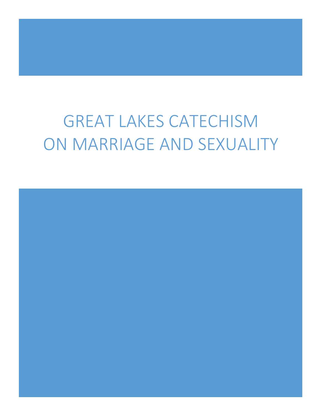# GREAT LAKES CATECHISM ON MARRIAGE AND SEXUALITY

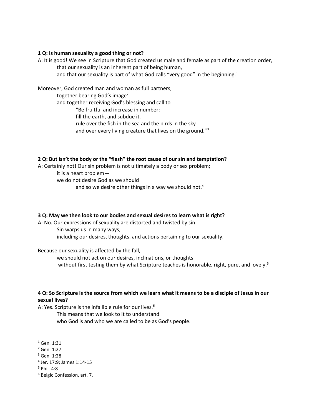## **1 Q: Is human sexuality a good thing or not?**

A: It is good! We see in Scripture that God created us male and female as part of the creation order,

that our sexuality is an inherent part of being human,

and that our sexuality is part of what God calls "very good" in the beginning.<sup>1</sup>

Moreover, God created man and woman as full partners,

together bearing God's image<sup>2</sup>

and together receiving God's blessing and call to

"Be fruitful and increase in number;

fill the earth, and subdue it.

rule over the fish in the sea and the birds in the sky

and over every living creature that lives on the ground."<sup>3</sup>

# **2 Q: But isn't the body or the "flesh" the root cause of our sin and temptation?**

A: Certainly not! Our sin problem is not ultimately a body or sex problem;

it is a heart problem—

we do not desire God as we should

and so we desire other things in a way we should not.<sup>4</sup>

# **3 Q: May we then look to our bodies and sexual desires to learn what is right?**

A: No. Our expressions of sexuality are distorted and twisted by sin.

Sin warps us in many ways,

including our desires, thoughts, and actions pertaining to our sexuality.

Because our sexuality is affected by the fall,

we should not act on our desires, inclinations, or thoughts without first testing them by what Scripture teaches is honorable, right, pure, and lovely.<sup>5</sup>

# **4 Q: So Scripture is the source from which we learn what it means to be a disciple of Jesus in our sexual lives?**

A: Yes. Scripture is the infallible rule for our lives.<sup>6</sup>

This means that we look to it to understand who God is and who we are called to be as God's people.

 $1$  Gen. 1:31

<sup>2</sup> Gen. 1:27

<sup>3</sup> Gen. 1:28

<sup>4</sup> Jer. 17:9; James 1:14-15

<sup>5</sup> Phil. 4:8

<sup>6</sup> Belgic Confession, art. 7.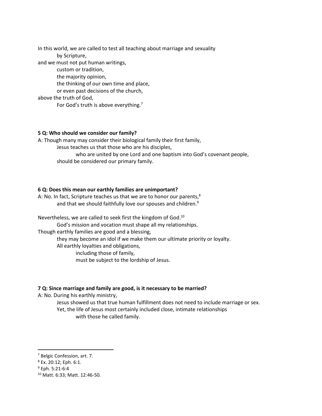In this world, we are called to test all teaching about marriage and sexuality by Scripture, and we must not put human writings, custom or tradition, the majority opinion, the thinking of our own time and place, or even past decisions of the church, above the truth of God, For God's truth is above everything.<sup>7</sup>

## **5 Q: Who should we consider our family?**

A: Though many may consider their biological family their first family,

Jesus teaches us that those who are his disciples,

who are united by one Lord and one baptism into God's covenant people, should be considered our primary family.

## **6 Q: Does this mean our earthly families are unimportant?**

A: No. In fact, Scripture teaches us that we are to honor our parents, $^8$ and that we should faithfully love our spouses and children.<sup>9</sup>

Nevertheless, we are called to seek first the kingdom of God.<sup>10</sup> God's mission and vocation must shape all my relationships. Though earthly families are good and a blessing, they may become an idol if we make them our ultimate priority or loyalty. All earthly loyalties and obligations, including those of family, must be subject to the lordship of Jesus.

## **7 Q: Since marriage and family are good, is it necessary to be married?**

A: No. During his earthly ministry,

Jesus showed us that true human fulfillment does not need to include marriage or sex. Yet, the life of Jesus most certainly included close, intimate relationships with those he called family.

<sup>7</sup> Belgic Confession, art. 7.

<sup>8</sup> Ex. 20:12; Eph. 6:1.

 $9$  Eph. 5:21-6:4

<sup>10</sup> Matt. 6:33; Matt. 12:46-50.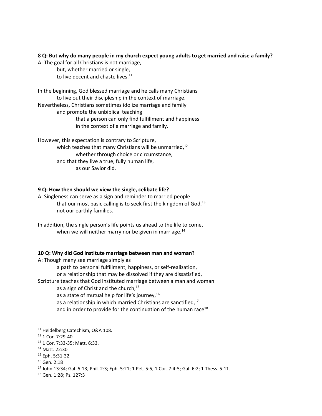## **8 Q: But why do many people in my church expect young adults to get married and raise a family?**

A: The goal for all Christians is not marriage,

but, whether married or single, to live decent and chaste lives. $11$ 

In the beginning, God blessed marriage and he calls many Christians to live out their discipleship in the context of marriage. Nevertheless, Christians sometimes idolize marriage and family and promote the unbiblical teaching that a person can only find fulfillment and happiness in the context of a marriage and family.

However, this expectation is contrary to Scripture, which teaches that many Christians will be unmarried, $^{12}$ whether through choice or circumstance, and that they live a true, fully human life, as our Savior did.

## **9 Q: How then should we view the single, celibate life?**

A: Singleness can serve as a sign and reminder to married people that our most basic calling is to seek first the kingdom of  $God<sup>13</sup>$ not our earthly families.

#### **10 Q: Why did God institute marriage between man and woman?**

A: Though many see marriage simply as

a path to personal fulfillment, happiness, or self-realization,

or a relationship that may be dissolved if they are dissatisfied,

Scripture teaches that God instituted marriage between a man and woman

as a sign of Christ and the church,<sup>15</sup>

as a state of mutual help for life's journey,<sup>16</sup>

as a relationship in which married Christians are sanctified, $17$ 

and in order to provide for the continuation of the human race<sup>18</sup>

 $\overline{a}$ 

In addition, the single person's life points us ahead to the life to come, when we will neither marry nor be given in marriage. $^{14}$ 

<sup>11</sup> Heidelberg Catechism, Q&A 108.

<sup>&</sup>lt;sup>12</sup> 1 Cor. 7:29-40.

<sup>13</sup> 1 Cor. 7:33-35; Matt. 6:33.

<sup>14</sup> Matt. 22:30

<sup>15</sup> Eph. 5:31-32

<sup>&</sup>lt;sup>16</sup> Gen. 2:18

<sup>17</sup> John 13:34; Gal. 5:13; Phil. 2:3; Eph. 5:21; 1 Pet. 5:5; 1 Cor. 7:4-5; Gal. 6:2; 1 Thess. 5:11.

<sup>18</sup> Gen. 1:28; Ps. 127:3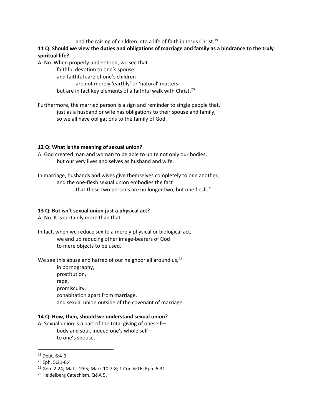and the raising of children into a life of faith in Jesus Christ.<sup>19</sup>

# **11 Q: Should we view the duties and obligations of marriage and family as a hindrance to the truly spiritual life?**

A: No. When properly understood, we see that

faithful devotion to one's spouse and faithful care of one's children are not merely 'earthly' or 'natural' matters but are in fact key elements of a faithful walk with Christ.<sup>20</sup>

Furthermore, the married person is a sign and reminder to single people that, just as a husband or wife has obligations to their spouse and family, so we all have obligations to the family of God.

## **12 Q: What is the meaning of sexual union?**

A: God created man and woman to be able to unite not only our bodies, but our very lives and selves as husband and wife.

In marriage, husbands and wives give themselves completely to one another, and the one-flesh sexual union embodies the fact that these two persons are no longer two, but one flesh.<sup>21</sup>

# **13 Q: But isn't sexual union just a physical act?**

A: No. It is certainly more than that.

In fact, when we reduce sex to a merely physical or biological act, we end up reducing other image-bearers of God to mere objects to be used.

We see this abuse and hatred of our neighbor all around us, $22$ 

in pornography, prostitution, rape, promiscuity, cohabitation apart from marriage, and sexual union outside of the covenant of marriage.

# **14 Q: How, then, should we understand sexual union?**

A: Sexual union is a part of the total giving of oneself body and soul, indeed one's whole self to one's spouse,

<sup>19</sup> Deut. 6:4-9

<sup>20</sup> Eph. 5:21-6:4

<sup>21</sup> Gen. 2:24; Matt. 19:5; Mark 10:7-8; 1 Cor. 6:16; Eph. 5:31

<sup>22</sup> Heidelberg Catechism, Q&A 5.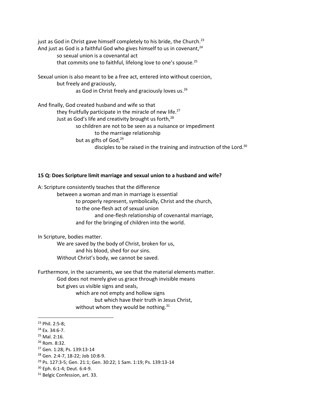just as God in Christ gave himself completely to his bride, the Church.<sup>23</sup> And just as God is a faithful God who gives himself to us in covenant,  $24$ so sexual union is a covenantal act that commits one to faithful, lifelong love to one's spouse.<sup>25</sup>

Sexual union is also meant to be a free act, entered into without coercion, but freely and graciously, as God in Christ freely and graciously loves us.<sup>26</sup>

And finally, God created husband and wife so that they fruitfully participate in the miracle of new life. $27$ Just as God's life and creativity brought us forth,<sup>28</sup> so children are not to be seen as a nuisance or impediment to the marriage relationship but as gifts of God,<sup>29</sup> disciples to be raised in the training and instruction of the Lord.<sup>30</sup>

#### **15 Q: Does Scripture limit marriage and sexual union to a husband and wife?**

A: Scripture consistently teaches that the difference between a woman and man in marriage is essential to properly represent, symbolically, Christ and the church, to the one-flesh act of sexual union and one-flesh relationship of covenantal marriage, and for the bringing of children into the world.

In Scripture, bodies matter.

We are saved by the body of Christ, broken for us, and his blood, shed for our sins. Without Christ's body, we cannot be saved.

Furthermore, in the sacraments, we see that the material elements matter. God does not merely give us grace through invisible means but gives us visible signs and seals, which are not empty and hollow signs but which have their truth in Jesus Christ,

without whom they would be nothing.<sup>31</sup>

 $\overline{\phantom{a}}$ 

<sup>23</sup> Phil. 2:5-8;

<sup>24</sup> Ex. 34:6-7.

<sup>25</sup> Mal. 2:16.

<sup>26</sup> Rom. 8:32.

<sup>27</sup> Gen. 1:28; Ps. 139:13-14

<sup>28</sup> Gen. 2:4-7, 18-22; Job 10:8-9.

<sup>29</sup> Ps. 127:3-5; Gen. 21:1; Gen. 30:22; 1 Sam. 1:19; Ps. 139:13-14

<sup>30</sup> Eph. 6:1-4; Deut. 6:4-9.

<sup>&</sup>lt;sup>31</sup> Belgic Confession, art. 33.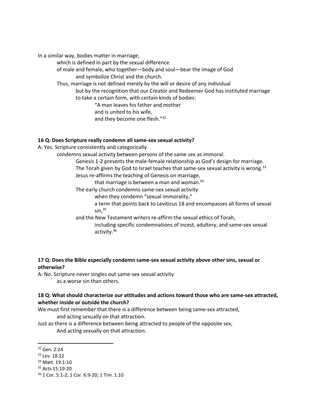In a similar way, bodies matter in marriage,

which is defined in part by the sexual difference

of male and female, who together—body and soul—bear the image of God and symbolize Christ and the church.

Thus, marriage is not defined merely by the will or desire of any individual

but by the recognition that our Creator and Redeemer God has instituted marriage to take a certain form, with certain kinds of bodies:

"A man leaves his father and mother

and is united to his wife,

and they become one flesh."<sup>32</sup>

#### **16 Q: Does Scripture really condemn all same-sex sexual activity?**

A: Yes. Scripture consistently and categorically

condemns sexual activity between persons of the same sex as immoral.

Genesis 1-2 presents the male-female relationship as God's design for marriage. The Torah given by God to Israel teaches that same-sex sexual activity is wrong.<sup>33</sup> Jesus re-affirms the teaching of Genesis on marriage,

that marriage is between a man and woman. $34$ 

The early church condemns same-sex sexual activity

when they condemn "sexual immorality,"

a term that points back to Leviticus 18 and encompasses all forms of sexual sin, $35$ 

and the New Testament writers re-affirm the sexual ethics of Torah, including specific condemnations of incest, adultery, and same-sex sexual activity.<sup>36</sup>

**17 Q: Does the Bible especially condemn same-sex sexual activity above other sins, sexual or otherwise?** 

A: No. Scripture never singles out same-sex sexual activity as a worse sin than others.

## **18 Q: What should characterize our attitudes and actions toward those who are same-sex attracted, whether inside or outside the church?**

We must first remember that there is a difference between being same-sex attracted, and acting sexually on that attraction.

Just as there is a difference between being attracted to people of the opposite sex, And acting sexually on that attraction.

 $\overline{\phantom{a}}$ 

<sup>32</sup> Gen. 2:24

<sup>33</sup> Lev. 18:22

<sup>34</sup> Matt. 19:1-10

<sup>35</sup> Acts 15:19-20

<sup>36</sup> 1 Cor. 5:1-2; 1 Cor. 6:9-20; 1 Tim. 1:10